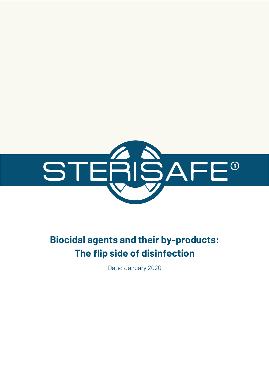

# **Biocidal agents and their by-products: The flip side of disinfection**

Date: January 2020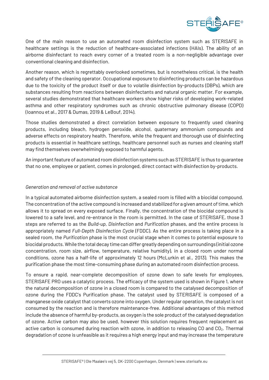

One of the main reason to use an automated room disinfection system such as STERISAFE in healthcare settings is the reduction of healthcare-associated infections (HAIs). The ability of an airborne disinfectant to reach every corner of a treated room is a non-negligible advantage over conventional cleaning and disinfection.

Another reason, which is regrettably overlooked sometimes, but is nonetheless critical, is the health and safety of the cleaning operator. Occupational exposure to disinfecting products can be hazardous due to the toxicity of the product itself or due to volatile disinfection by-products (DBPs), which are substances resulting from reactions between disinfectants and natural organic matter. For example, several studies demonstrated that healthcare workers show higher risks of developing work-related asthma and other respiratory syndromes such as chronic obstructive pulmonary disease (COPD) (Ioannou et al., 2017 & Dumas, 2019 & LeBouf, 2014).

Those studies demonstrated a direct correlation between exposure to frequently used cleaning products, including bleach, hydrogen peroxide, alcohol, quaternary ammonium compounds and adverse effects on respiratory health. Therefore, while the frequent and thorough use of disinfecting products is essential in healthcare settings, healthcare personnel such as nurses and cleaning staff may find themselves overwhelmingly exposed to harmful agents.

An important feature of automated room disinfection systems such as STERISAFE is thus to guarantee that no one, employee or patient, comes in prolonged, direct contact with disinfection by-products.

## *Generation and removal of active substance*

In a typical automated airborne disinfection system, a sealed room is filled with a biocidal compound. The concentration of the active compound is increased and stabilized for a given amount of time, which allows it to spread on every exposed surface. Finally, the concentration of the biocidal compound is lowered to a safe level, and re-entrance in the room is permitted. In the case of STERISAFE, those 3 steps are referred to as the *Build-up*, *Disinfection* and *Purification* phases, and the entire process is appropriately named *Full-Depth Disinfection Cycle* (FDDC). As the entire process is taking place in a sealed room, the *Purification* phase is the most crucial stage when it comes to potential exposure to biocidal products. While the total decay time can differ greatly depending on surroundings (initial ozone concentration, room size, airflow, temperature, relative humidity), in a closed room under normal conditions, ozone has a half-life of approximately 12 hours (McLurkin et al., 2013). This makes the purification phase the most time-consuming phase during an automated room disinfection process.

To ensure a rapid, near-complete decomposition of ozone down to safe levels for employees, STERISAFE PRO uses a catalytic process. The efficacy of the system used is shown in Figure 1, where the natural decomposition of ozone in a closed room is compared to the catalysed decomposition of ozone during the FDDC's Purification phase. The catalyst used by STERISAFE is composed of a manganese oxide catalyst that converts ozone into oxygen. Under regular operation, the catalyst is not consumed by the reaction and is therefore maintenance-free. Additional advantages of this method include the absence of harmful by-products, as oxygen is the sole product of the catalysed degradation of ozone. Active carbon may also be used, however this solution requires frequent replacement as active carbon is consumed during reaction with ozone, in addition to releasing CO and CO<sub>2</sub>. Thermal degradation of ozone is unfeasible as it requires a high energy input and may increase the temperature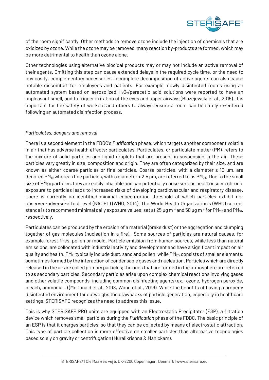

of the room significantly. Other methods to remove ozone include the injection of chemicals that are oxidized by ozone. While the ozone may be removed, many reaction by-products are formed, which may be more detrimental to health than ozone alone.

Other technologies using alternative biocidal products may or may not include an active removal of their agents. Omitting this step can cause extended delays in the required cycle time, or the need to buy costly, complementary accessories. Incomplete decomposition of active agents can also cause notable discomfort for employees and patients. For example, newly disinfected rooms using an automated system based on aerosolized  $H_2O_2$ /peracetic acid solutions were reported to have an unpleasant smell, and to trigger irritation of the eyes and upper airways (Blazejewski et al., 2015). It is important for the safety of workers and others to always ensure a room can be safely re-entered following an automated disinfection process.

### *Particulates, dangers and removal*

There is a second element in the FDDC's *Purification* phase, which targets another component volatile in air that has adverse health effects: particulates. Particulates, or particulate matter (PM), refers to the mixture of solid particles and liquid droplets that are present in suspension in the air. These particles vary greatly in size, composition and origin. They are often categorized by their size, and are known as either coarse particles or fine particles. Coarse particles, with a diameter ≤ 10 µm, are denoted PM<sub>10</sub> whereas fine particles, with a diameter < 2.5  $\mu$ m, are referred to as PM<sub>2.5</sub>. Due to the small size of PM<sub>2.5</sub> particles, they are easily inhalable and can potentially cause serious health issues; chronic exposure to particles leads to increased risks of developing cardiovascular and respiratory disease. There is currently no identified minimal concentration threshold at which particles exhibit noobserved-adverse-effect level (NAOEL) (WHO, 2014). The World Health Organization's (WHO) current stance is to recommend minimal daily exposure values, set at 25  $\mu$ g m<sup>-3</sup> and 50  $\mu$ g m<sup>-3</sup> for PM<sub>2.5</sub> and PM<sub>10</sub>, respectively.

Particulates can be produced by the erosion of a material (brake dust) or the aggregation and clumping together of gas molecules (nucleation in a fire). Some sources of particles are natural causes, for example forest fires, pollen or mould. Particle emission from human sources, while less than natural emissions, are collocated with industrial activity and development and have a significant impact on air quality and health. PM<sub>10</sub> typically include dust, sand and pollen, while PM<sub>2.5</sub> consists of smaller elements, sometimes formed by the interaction of condensable gases and nucleation. Particles which are directly released in the air are called primary particles; the ones that are formed in the atmosphere are referred to as secondary particles. Secondary particles arise upon complex chemical reactions involving gases and other volatile compounds, including common disinfecting agents (ex.: ozone, hydrogen peroxide, bleach, ammonia…) (McDonald et al., 2018, Wang et al., 2019). While the benefits of having a properly disinfected environment far outweighs the drawbacks of particle generation, especially in healthcare settings, STERISAFE recognizes the need to address this issue.

This is why STERISAFE PRO units are equipped with an Electrostatic Precipitator (ESP), a filtration device which removes small particles during the *Purification* phase of the FDDC. The basic principle of an ESP is that it charges particles, so that they can be collected by means of electrostatic attraction. This type of particle collection is more effective on smaller particles than alternative technologies based solely on gravity or centrifugation (Muralikrishna & Manickam).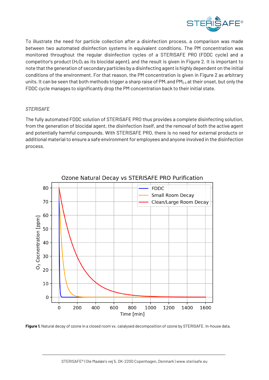

To illustrate the need for particle collection after a disinfection process, a comparison was made between two automated disinfection systems in equivalent conditions. The PM concentration was monitored throughout the regular disinfection cycles of a STERISAFE PRO (FDDC cycle) and a competitor's product  $(H_2O_2)$  as its biocidal agent), and the result is given in Figure 2. It is important to note that the generation of secondary particles by a disinfecting agent is highly dependent on the initial conditions of the environment. For that reason, the PM concentration is given in Figure 2 as arbitrary units. It can be seen that both methods trigger a sharp raise of  $PM<sub>1</sub>$  and  $PM<sub>2.5</sub>$  at their onset, but only the FDDC cycle manages to significantly drop the PM concentration back to their initial state.

### *STERISAFE*

The fully automated FDDC solution of STERISAFE PRO thus provides a complete disinfecting solution, from the generation of biocidal agent, the disinfection itself, and the removal of both the active agent and potentially harmful compounds. With STERISAFE PRO, there is no need for external products or additional material to ensure a safe environment for employees and anyone involved in the disinfection process.



**Figure 1.** Natural decay of ozone in a closed room vs. catalysed decomposition of ozone by STERISAFE. In-house data.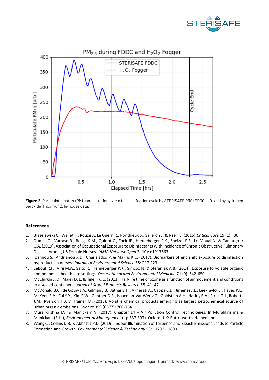



**Figure 2.** Particulate matter (PM) concentration over a full disinfection cycle by STERISAFE PRO (FDDC, left) and by hydrogen peroxide (H2O2, right). In-house data.

#### **References**

- 1. Blazejewski C., Wallet F., Rouzé A, Le Guern R., Ponthieux S., Salleron J. & Nseir S. (2015) *Critical Care* 19 (1) : 30
- 2. Dumas O., Varraso R., Boggs K.M., Quinot C., Zock JP., Henneberger P.K., Speizer F.E., Le Moual N. & Camargo Jr C.A. (2019). Association of Occupational Exposure to Disinfectants With Incidence of Chronic Obstructive Pulmonary Disease Among US Female Nurses. *JAMA Network Open* 2 (10): e1913563
- 3. Ioannou S., Andrianou X.D., Charisiados P. & Makris K.C. (2017). Biomarkers of end shift exposure to disinfection byproducts in nurses. *Journal of Environmental Science* 58: 217-223
- 4. LeBouf R.F., Virji M.A., Saito R., Henneberger P.K., Simcox N. & Stefaniak A.B. (2014). Exposure to volatile organic compounds in healthcare settings. *Occupational and Environmental Medicine* 71 (9): 642-650
- 5. McClurkin J. D., Maier D. E. & Ileleji, K. E. (2013). Half-life time of ozone as a function of air movement and conditions in a sealed container. *Journal of Stored Products Research* 55: 41–47
- 6. McDonald B.C., de Gouw J.A., Gilman J.B., Jathar S.H., Akherati A., Cappa C.D., Jimenez J.L., Lee-Taylor J., Hayes P.L., McKeen S.A., Cui Y.Y., Kim S.W., Gentner D.R., Isaacman-VanWertz G., Goldstein A.H., Harley R.A., Frost G.J., Roberts J.M., Ryerson T.B. & Trainer M. (2018). Volatile chemical products emerging as largest petrochemical source of urban organic emissions. *Science* 359 (6377): 760-764
- 7. Muralikrishna I.V. & Manickam V. (2017). Chapter 14 Air Pollution Control Technologies. In Muralikrishna & Manickam (Eds.), *Environemental Management* (pp.337-397). Oxford, UK: Butterworth-Heinemann
- 8. Wang C., Collins D.B. & Abbatt J.P.D. (2019). Indoor Illumination of Terpenes and Bleach Emissions Leads to Particle Formation and Growth. *Environmental Science & Technology* 53: 11792-11800